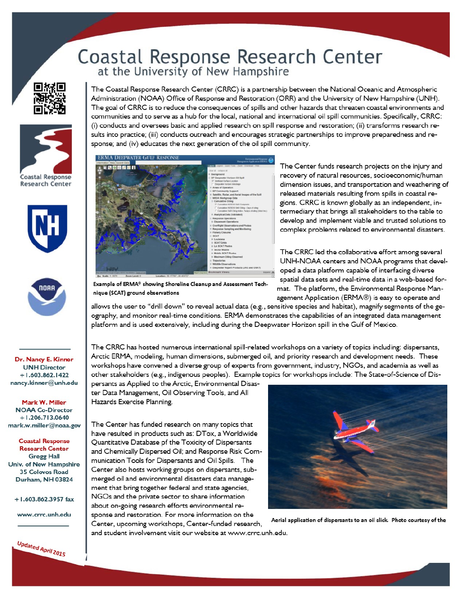## Coastal Response Research Center<br>at the University of New Hampshire







Dr. Nancy E. Kinner **UNH Director**  $+1.603.862.1422$ nancy.kinner@unh.edu

Mark W. Miller **NOAA Co-Director**  $+1.206.713.0640$ mark.w.miller@noaa.gov

**Coastal Response Research Center Gregg Hall** Univ. of New Hampshire 35 Colovos Road Durham, NH 03824

+1.603.862.3957 fax

www.crrc.unh.edu



The Coastal Response Research Center (CRRC) is a partnership between the National Oceanic and Atmospheric Administration (NOAA) Office of Response and Restoration (ORR) and the University of New Hampshire (UNH). The goal of CRRC is to reduce the consequences of spills and other hazards that threaten coastal environments and communities and to serve as a hub for the local, national and international oil spill communities. Specifically, CRRC: (i) conducts and oversees basic and applied research on spill response and restoration; (ii) transforms research results into practice; (iii) conducts outreach and encourages strategic partnerships to improve preparedness and response; and (iv) educates the next generation of the oil spill community.



The Center funds research projects on the injury and recovery of natural resources, socioeconomic/human dimension issues, and transportation and weathering of released materials resulting from spills in coastal regions. CRRC is known globally as an independent, intermediary that brings all stakeholders to the table to develop and implement viable and trusted solutions to complex problems related to environmental disasters.

The CRRC led the collaborative effort among several UNH-NOAA centers and NOAA programs that developed a data platform capable of interfacing diverse spatial data sets and real-time data in a web-based format. The platform, the Environmental Response Management Application (ERMA®) is easy to operate and

Example of ERMA® showing Shoreline Cleanup and Assessment Technique (SCAT) ground observations

allows the user to "drill down" to reveal actual data (e.g., sensitive species and habitat), magnify segments of the geography, and monitor real-time conditions. ERMA demonstrates the capabilities of an integrated data management platform and is used extensively, including during the Deepwater Horizon spill in the Gulf of Mexico.

The CRRC has hosted numerous international spill-related workshops on a variety of topics including: dispersants, Arctic ERMA, modeling, human dimensions, submerged oil, and priority research and development needs. These workshops have convened a diverse group of experts from government, industry, NGOs, and academia as well as other stakeholders (e.g., indigenous peoples). Example topics for workshops include: The State-of-Science of Dis-

persants as Applied to the Arctic, Environmental Disaster Data Management, Oil Observing Tools, and All Hazards Exercise Planning.

The Center has funded research on many topics that have resulted in products such as: DTox, a Worldwide Quantitative Database pf the Toxicity of Dispersants and Chemically Dispersed Oil; and Response Risk Communication Tools for Dispersants and Oil Spills. The Center also hosts working groups on dispersants, submerged oil and environmental disasters data management that bring together federal and state agencies, NGOs and the private sector to share information about on-going research efforts environmental response and restoration. For more information on the Center, upcoming workshops, Center-funded research,



Aerial application of dispersants to an oil slick. Photo courtesy of the

and student involvement visit our website at www.crrc.unh.edu.